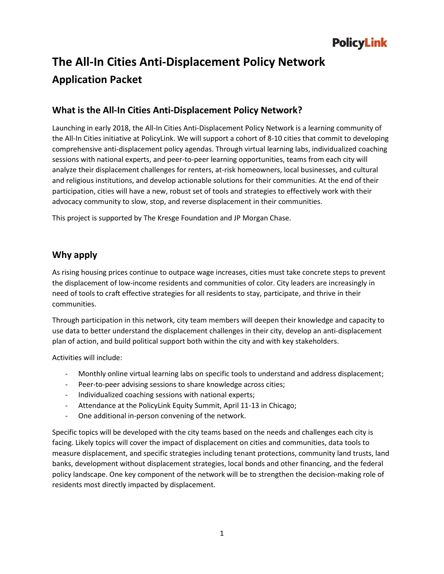# **The All-In Cities Anti-Displacement Policy Network Application Packet**

## **What is the All-In Cities Anti-Displacement Policy Network?**

Launching in early 2018, the All-In Cities Anti-Displacement Policy Network is a learning community of the All-In Cities initiative at PolicyLink. We will support a cohort of 8-10 cities that commit to developing comprehensive anti-displacement policy agendas. Through virtual learning labs, individualized coaching sessions with national experts, and peer-to-peer learning opportunities, teams from each city will analyze their displacement challenges for renters, at-risk homeowners, local businesses, and cultural and religious institutions, and develop actionable solutions for their communities. At the end of their participation, cities will have a new, robust set of tools and strategies to effectively work with their advocacy community to slow, stop, and reverse displacement in their communities.

This project is supported by The Kresge Foundation and JP Morgan Chase.

## **Why apply**

As rising housing prices continue to outpace wage increases, cities must take concrete steps to prevent the displacement of low-income residents and communities of color. City leaders are increasingly in need of tools to craft effective strategies for all residents to stay, participate, and thrive in their communities.

Through participation in this network, city team members will deepen their knowledge and capacity to use data to better understand the displacement challenges in their city, develop an anti-displacement plan of action, and build political support both within the city and with key stakeholders.

Activities will include:

- Monthly online virtual learning labs on specific tools to understand and address displacement;
- Peer-to-peer advising sessions to share knowledge across cities;
- Individualized coaching sessions with national experts;
- Attendance at the PolicyLink Equity Summit, April 11-13 in Chicago;
- One additional in-person convening of the network.

Specific topics will be developed with the city teams based on the needs and challenges each city is facing. Likely topics will cover the impact of displacement on cities and communities, data tools to measure displacement, and specific strategies including tenant protections, community land trusts, land banks, development without displacement strategies, local bonds and other financing, and the federal policy landscape. One key component of the network will be to strengthen the decision-making role of residents most directly impacted by displacement.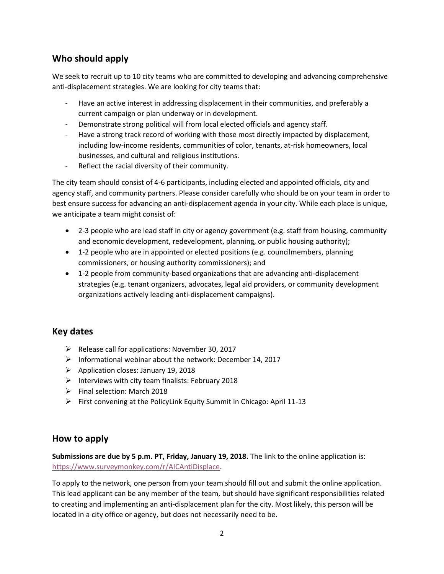# **Who should apply**

We seek to recruit up to 10 city teams who are committed to developing and advancing comprehensive anti-displacement strategies. We are looking for city teams that:

- Have an active interest in addressing displacement in their communities, and preferably a current campaign or plan underway or in development.
- Demonstrate strong political will from local elected officials and agency staff.
- Have a strong track record of working with those most directly impacted by displacement, including low-income residents, communities of color, tenants, at-risk homeowners, local businesses, and cultural and religious institutions.
- Reflect the racial diversity of their community.

The city team should consist of 4-6 participants, including elected and appointed officials, city and agency staff, and community partners. Please consider carefully who should be on your team in order to best ensure success for advancing an anti-displacement agenda in your city. While each place is unique, we anticipate a team might consist of:

- 2-3 people who are lead staff in city or agency government (e.g. staff from housing, community and economic development, redevelopment, planning, or public housing authority);
- 1-2 people who are in appointed or elected positions (e.g. councilmembers, planning commissioners, or housing authority commissioners); and
- 1-2 people from community-based organizations that are advancing anti-displacement strategies (e.g. tenant organizers, advocates, legal aid providers, or community development organizations actively leading anti-displacement campaigns).

## **Key dates**

- ➢ Release call for applications: November 30, 2017
- ➢ Informational webinar about the network: December 14, 2017
- ➢ Application closes: January 19, 2018
- $\triangleright$  Interviews with city team finalists: February 2018
- ➢ Final selection: March 2018
- ➢ First convening at the PolicyLink Equity Summit in Chicago: April 11-13

#### **How to apply**

**Submissions are due by 5 p.m. PT, Friday, January 19, 2018.** The link to the online application is: [https://www.surveymonkey.com/r/AICAntiDisplace.](https://www.surveymonkey.com/r/AICAntiDisplace)

To apply to the network, one person from your team should fill out and submit the online application. This lead applicant can be any member of the team, but should have significant responsibilities related to creating and implementing an anti-displacement plan for the city. Most likely, this person will be located in a city office or agency, but does not necessarily need to be.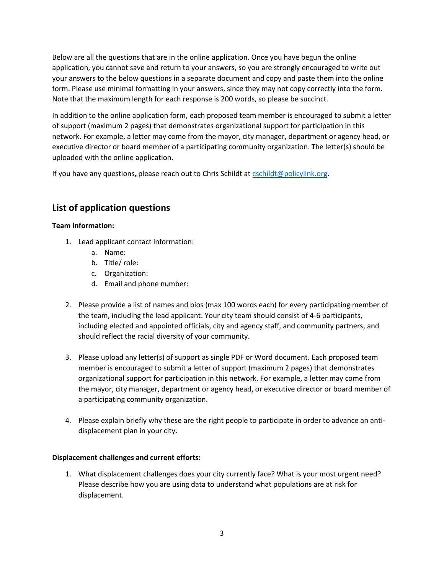Below are all the questions that are in the online application. Once you have begun the online application, you cannot save and return to your answers, so you are strongly encouraged to write out your answers to the below questions in a separate document and copy and paste them into the online form. Please use minimal formatting in your answers, since they may not copy correctly into the form. Note that the maximum length for each response is 200 words, so please be succinct.

In addition to the online application form, each proposed team member is encouraged to submit a letter of support (maximum 2 pages) that demonstrates organizational support for participation in this network. For example, a letter may come from the mayor, city manager, department or agency head, or executive director or board member of a participating community organization. The letter(s) should be uploaded with the online application.

If you have any questions, please reach out to Chris Schildt at [cschildt@policylink.org.](mailto:cschildt@policylink.org)

# **List of application questions**

#### **Team information:**

- 1. Lead applicant contact information:
	- a. Name:
	- b. Title/ role:
	- c. Organization:
	- d. Email and phone number:
- 2. Please provide a list of names and bios (max 100 words each) for every participating member of the team, including the lead applicant. Your city team should consist of 4-6 participants, including elected and appointed officials, city and agency staff, and community partners, and should reflect the racial diversity of your community.
- 3. Please upload any letter(s) of support as single PDF or Word document. Each proposed team member is encouraged to submit a letter of support (maximum 2 pages) that demonstrates organizational support for participation in this network. For example, a letter may come from the mayor, city manager, department or agency head, or executive director or board member of a participating community organization.
- 4. Please explain briefly why these are the right people to participate in order to advance an antidisplacement plan in your city.

#### **Displacement challenges and current efforts:**

1. What displacement challenges does your city currently face? What is your most urgent need? Please describe how you are using data to understand what populations are at risk for displacement.